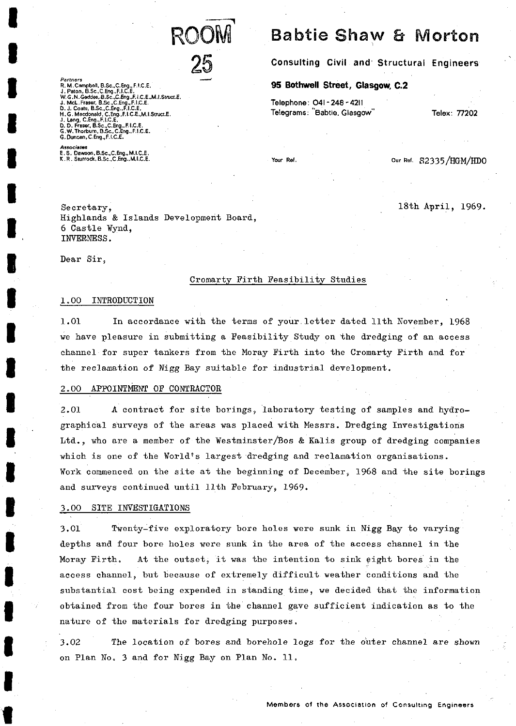

Partners<br>R. M. Campbell, B.Sc., C. Eng., F.I.C.E.<br>J., Paton, B.Sc., C. Eng., F.I.C.E.<br>J., Paton, B.Sc., C. Eng., F.I.C.E., I.C.E., M.I.Struct<br>J. McL. Fraser, B.Sc., C. Eng., F.I.C.E.<br>D. J. Coats, B.Sc., C. Eng., F.I.C.E.<br>D

**Associates E.S. Dawson,B,Sc.,C.Eng.,M.I.C.E. K.R. Sturrock,B.Sc.,C.Eng.,M.I.C.E.**

Secretary, Highlands & Islands Development Board, 6 Castle ¥ynd, INVERNESS.

Dear Sir,

# Cromarty Firth Feasibility Studies

# 1.00 INTRODUCTION

1.01 In accordance with the terms of your.letter dated llth November, 1968 we have pleasure in submitting a Feasibility Study on the dredging of an access channel for super tankers from the Moray Firth into the Cromarty Firth and for the reclamation of Nigg Bay suitable for industrial development.

# 2.00 APPOINTMENT OF CONTRACTOR

2.01 A contract for site borings, laboratory testing of samples and hydrographical surveys of the areas was placed with Messrs. Dredging Investigations Ltd., who are a member of the Westminster/Bos & Kalis group of dredging companies which is one of the World's largest dredging and reclamation organisations. ¥ork commenced on the site at the beginning of December, 1968 and the site borings and surveys continued until llth February, 1969.

# 3.00 SITE INVESTIGATIONS

3.01 Twenty-five exploratory bore holes were sunk in Nigg Bay to varying depths and four bore holes were sunk in the area of the access channel in the Moray Firth. At the outset, it was the intention to sink eight bores in the access channel, but because of extremely difficult weather conditions and the substantial cost being expended in standing time, we decided that the information obtained from the four bores in the channel gave sufficient indication as to the nature of the materials for dredging purposes,

3.02 The location of bores and borehole logs for the outer channel are shown on Plan No. 3 and for Nigg Bay on Plan No. 11.

**Consulting Civil and<sup>1</sup> Structural Engineers**

**Babtie Shaw & Morton** 

**95 Bothwell Street, Glasgow, C.2**

**Telephone: O4I-248-4211 Telegrams: "Babtie. Glasgow"**

**Your Ref.**

Our Ref. S2335/HGM/HDO

**Telex: 77202**

18th April, 1969.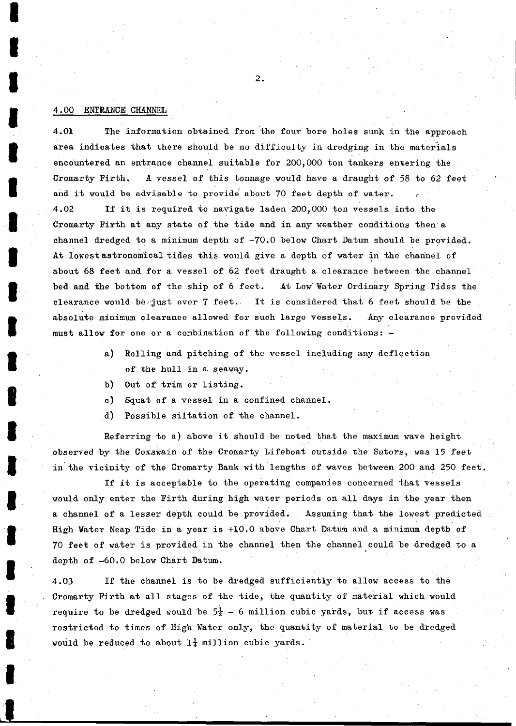# 4.00 ENTRANCE CHANNEL

4.01 The information obtained from the four bore holes sunk in the approach area indicates that there should be no difficulty in dredging in the materials encountered an entrance channel suitable for 200,000 ton tankers entering the Cromarty Firth. A vessel of this tonnage would have a draught of 58 to 62 feet and it would be advisable to provide about 70 feet depth of water. 4.02 If it is required to navigate laden 200,000 ton vessels into the Cromarty Firth at any state of the tide and in any weather conditions then a channel dredged to a minimum depth of -70.0 below Chart Datum should be provided. At lowest astronomical tides this would give a depth of water in the channel of about 68 feet and for a vessel of 62 feet draught a clearance between the channel bed and the bottom of the ship of 6 feet. At Low Water Ordinary Spring Tides the clearance would be just over 7 feet. It is considered that 6 feet should be the absolute minimum clearance allowed for such large vessels. Any clearance provided must allow for one or a combination of the following conditions: -

- a) Rolling and pitching of the vessel including any deflection of the hull in a seaway.
- b) Out of trim or listing.
- c) Squat of a vessel in a confined channel.
- d) Possible siltation of the channel.

Referring to a) above it should be noted that the maximum wave height observed by the Coxswain of the Cromarty Lifeboat outside the Sutors, was 15 feet in the vicinity of the Cromarty Bank with lengths of waves between 200 and 250 feet.

If it is acceptable to the operating companies concerned that vessels would only enter the Firth during high water periods on all days in the year then a channel of a lesser depth could be provided. Assuming that the lowest predicted High Vater Neap Tide in a year is +10.0 above Chart Datum and a minimum depth of 70 feet of water is provided in the channel then the channel could be dredged to a depth of -60.0 below Chart Datum.

4.03 If the channel is to be dredged sufficiently to allow access to the Cromarty Firth at all stages of the tide, the quantity of material which would require to be dredged would be  $5\frac{1}{2}$  - 6 million cubic yards, but if access was restricted to times of High Water only, the quantity of material to be dredged would be reduced to about  $1\frac{1}{4}$  million cubic yards.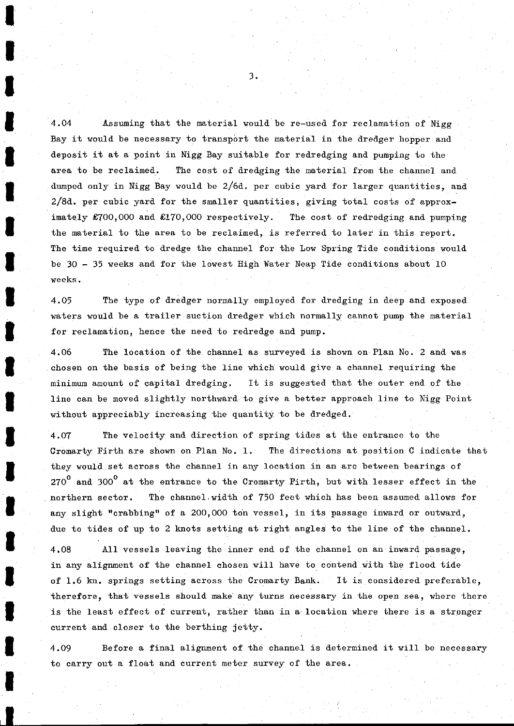4.04 Assuming that the material would be re-used for reclamation of Nigg Bay it would be necessary to transport the material in the dredger hopper and deposit it at a point in Nigg Bay suitable for redredging and pumping to the area to be reclaimed. The cost of dredging the material from the channel and dumped only in Nigg Bay would be  $2/6d$ , per cubic yard for larger quantities, and 2/8d. per cubic yard for the smaller quantities, giving total costs of approximately £700,000 and £170,000 respectively. The cost of redredging and pumping the material to the area to be reclaimed, is referred to later in this report. The time required to dredge the channel for the Low Spring Tide conditions would be  $30 - 35$  weeks and for the lowest High Water Neap Tide conditions about 10 weeks.

4.05 The type of dredger normally employed for dredging in deep and exposed waters would be a trailer suction dredger which normally cannot pump the material for reclamation, hence the need to redredge and pump.

4.06 The location of the channel as surveyed is shown on Plan No. 2 and was chosen on the basis of being the line which would give a channel requiring the minimum amount of capital dredging. It is suggested that the outer end of the line can be moved slightly northward to give a better approach line to Nigg Point without appreciably increasing the quantity to be dredged.

4.07 The velocity and direction of spring tides at the entrance to the Cromarty Firth are shown on Plan No. 1. The directions at position C indicate that they would set across the channel in any location in an arc between bearings of  $270^0$  and 300<sup>0</sup> at the entrance to the Cromarty Firth, but with lesser effect in the northern sector. The channel.width of 750 feet which has been assumed allows for any slight "crabbing" of a 200,000 ton vessel, in its passage inward or outward, due to tides of up to 2 knots setting at right angles to the line of the channel.

4.08 All vessels leaving the inner end of the channel on an inward passage, in any alignment of the channel chosen will have to contend with the flood tide of 1.6 kn. springs setting across the Cromarty Bank. It is considered preferable, therefore, that vessels should make any turns necessary in the open sea, where there is the least effect of current, rather than in a location where there is a stronger current and closer to the berthing jetty.

4.09 Before a final alignment of the channel is determined it will be necessary to carry out a float and current meter survey of the area.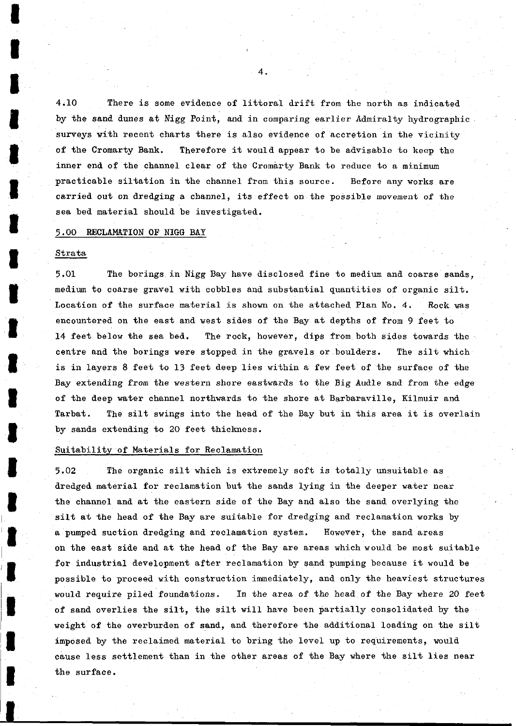4.10 There is some evidence of littoral drift from the north as indicated by the sand dunes at Nigg Point, and in comparing earlier Admiralty hydrographic surveys with recent charts there is also evidence of accretion in the vicinity of the Cromarty Bank. Therefore it would appear to be advisable to keep the inner end of the channel clear of the Cromarty Bank to reduce to a minimum practicable siltation in the channel from this source. Before any works are carried out on dredging a channel, its effect on the possible movement of the sea bed material should be investigated.

## 3.00 RECLAMATION OF NIGG BAY

### **Strata**

5.01 The borings in Nigg Bay have disclosed fine to medium and coarse sands, medium to coarse gravel with cobbles and substantial quantities of organic silt. Location of the surface material is shown on the attached Plan No. 4. Rock was encountered on the east and west sides of the Bay at depths of from 9 feet to 14 feet below the sea bed. The rock, however, dips from both sides towards the centre and the borings were stopped in the gravels or boulders. The silt which is in layers 8 feet to 13 feet deep lies within a few feet of the surface of the Bay extending from the western shore eastwards to the Big Audle and from the edge of the deep water channel northwards to the shore at Barbaraville, Kilmuir and Tarbat. The silt swings into the head of the Bay but in this area it is overlain by sands extending to 20 feet thickness.

# Suitability of Materials for Reclamation

5.02 The organic silt which is extremely soft is totally unsuitable as dredged material for reclamation but the sands lying in the deeper water near the channel and at the eastern side of the Bay and also the sand overlying the silt at the head of the Bay are suitable for dredging and reclamation works by a pumped suction dredging and reclamation system. However, the sand areas on the east side and at the head of the Bay are areas which would be most suitable for industrial development after reclamation by sand pumping because it would be possible to proceed with construction immediately, and only the heaviest structures would require piled foundations. In the area of the head of the Bay where 20 feet of sand overlies the silt, the silt will have been partially consolidated by the weight of the overburden of sand, and therefore the additional loading on the silt imposed by the reclaimed material to bring the level up to requirements, would cause less settlement than in the other areas of the Bay where the silt lies near the surface.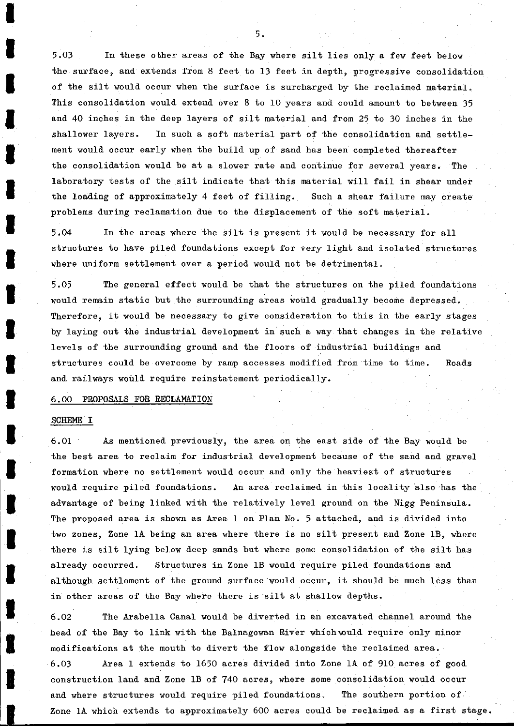5.03 In these other areas of the Bay where silt lies only a few feet below the surface, and extends from 8 feet to 13 feet in depth, progressive consolidation of the silt would occur when the surface is surcharged by the reclaimed material. This consolidation would extend over 8 to 10 years and could amount to between 35 and 40 inches in the deep layers of silt material and from 25 to 30 inches in the shallower layers. In such a soft material part of the consolidation and settlement would occur early when the build up of sand has been completed thereafter the consolidation would be at a slower rate and continue for several years. The laboratory tests of the silt indicate that this material will fail in shear under the loading of approximately 4 feet of filling. Such a shear failure may create problems during reclamation due to the displacement of the soft material.

5.04 In the areas where the silt is present it would be necessary for all structures to have piled foundations except for very light and isolated structures where uniform settlement over a period would not be detrimental.

5.05 The general effect would be that the structures on the piled foundations would remain static but the surrounding areas would gradually become depressed. Therefore, it would be necessary to give consideration to this in the early stages by laying out the industrial development in such a way that changes in the relative levels of the surrounding ground and the floors of industrial buildings and structures could be overcome by ramp accesses modified from time to time. Roads and railways would require reinstatement periodically.

## 6.00 PROPOSALS FOR RECLAMATION

## SCHEME<sup>'</sup> I

6.01 As mentioned previously, the area on the east side of the Bay would be the best area to reclaim for industrial development because of the sand and gravel formation where no settlement would occur and only the heaviest of structures would require piled foundations. An area reclaimed in this locality also has the advantage of being linked with the relatively level ground on the Nigg Peninsula. The proposed area is shown as Area 1 on Plan No. 5 attached, and is divided into two zones, Zone 1A being an area where there is no silt present and Zone IB, where there is silt lying below deep sands but where some consolidation of the silt has already occurred. Structures in Zone IB would require piled foundations and although settlement of the ground surface would occur, it should be much less than in other areas of the Bay where there is silt at shallow depths.

6.02 The Arabella Canal would be diverted in an excavated channel around the head of the Bay to link with the Balnagowan River which would require only minor modifications at the mouth to divert the flow alongside the reclaimed area. 6.03 Area 1 extends to 1650 acres divided into Zone 1A of 910 acres of good construction land and Zone IB of 740 acres, where some consolidation would occur and where structures would require piled foundations. The southern portion of Zone 1A which extends to approximately 600 acres could be reclaimed as a first stage,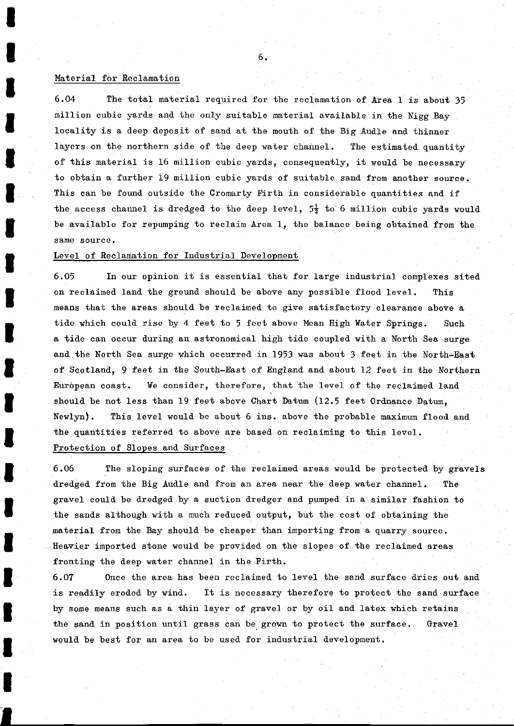#### Material for Reclamation

6.04 The total material required for the reclamation of Area 1 is about 35 million cubic yards and the only suitable material available in the Nigg Bay locality is a deep deposit of sand at the mouth of the Big Audle and thinner layers on the northern side of the deep water channel. The estimated quantity of this material is 16 million cubic yards, consequently, it would be necessary to obtain a further 19 million cubic yards of suitable sand from another source. This can be found outside the Cromarty Firth in considerable quantities and if the access channel is dredged to the deep level,  $5\frac{1}{2}$  to 6 million cubic yards would be available for repumping to reclaim Area 1, the balance being obtained from the same source.

# Level of Reclamation for Industrial Development

6.05 In our opinion it is essential that for large industrial complexes sited on reclaimed land the ground should be above any possible flood level. This means that the areas should be reclaimed to give satisfactory clearance above a tide which could rise by 4 feet to 5 feet above Mean High Water Springs. Such a tide can occur during an astronomical high tide coupled with a North Sea surge and the North Sea surge which occurred in 1953 was about 3 feet in the North-East of Scotland, 9 feet in the South-East of England and about 12 feet in the Northern European coast. We consider, therefore, that the level of the reclaimed land should be not less than 19 feet above Chart Datum (12.5 feet Ordnance Datum, Newlyn). This level would be about 6 ins. above the probable maximum flood and the quantities referred to above are based on reclaiming to this level. Protection of Slopes and Surfaces

6.06 The sloping surfaces of the reclaimed areas would be protected by gravels dredged from the Big Audle and from an area near the deep water channel. The gravel could be dredged by a suction dredger and pumped in a similar fashion to the sands although with a much reduced output, but the cost of obtaining the material from the Bay should be cheaper than importing from a quarry source. Heavier imported stone would be provided on the slopes of the reclaimed areas fronting the deep water channel in the Firth.

6.07 Once the area has been reclaimed to level the sand surface dries out and is readily eroded by wind. It is necessary therefore to protect the sand surface by some means such as a thin layer of gravel or by oil and latex which retains the sand in position until grass can be grown to protect the surface. Gravel would be best for an area to be used for industrial development.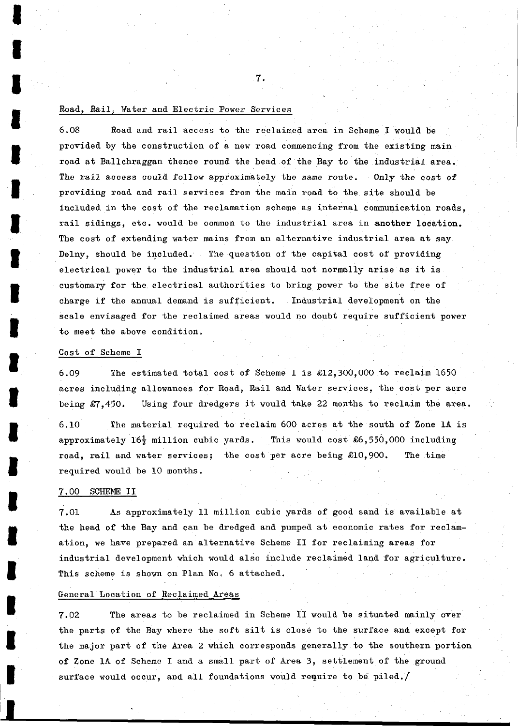# Road, Rail, ¥ater and Electric Power Services

6.08 Road and rail access to the reclaimed area in Scheme I would be provided by the construction of a new road commencing from the existing main road at Ballchraggan thence round the head of the Bay to the industrial area. The rail access could follow approximately the same route. Only the cost of providing road and rail services from the main road to the site should be included in the cost of the reclamation scheme as internal communication roads, rail sidings, etc. would be common to the industrial area in another location. The cost of extending water mains from an alternative industrial area at say Delny, should be included. The question of the capital cost of providing electrical power to the industrial area should not normally arise as it is customary for the electrical authorities to bring power to the site free of charge if the annual demand is sufficient. Industrial development on the scale envisaged for the reclaimed areas would no doubt require sufficient power to meet the above condition,

7.

# Cost of Scheme I

6.09 The estimated total cost of Scheme I is £12,300,000 to reclaim 1650 acres including allowances for Road, Rail and ¥ater services, the cost per acre being £7,450. Using four dredgers it would take 22 months to reclaim the area.

6.10 The material required to reclaim 600 acres at the south of Zone 1A is approximately  $16\frac{1}{2}$  million cubic yards. This would cost  $\&6,550,000$  including road, rail and water services; the cost per acre being £10,900. The time required would be 10 months.

# 7.00 SCHEME II

7.01 As approximately 11 million cubic yards of good sand is available at the head of the Bay and can be dredged and pumped at economic rates for reclamation, we have prepared an alternative Scheme II for reclaiming areas for industrial development which would also include reclaimed land for agriculture. This scheme is shown on Plan No. 6 attached.

# General Location of Reclaimed Areas

7.02 The areas to be reclaimed in Scheme II would be situated mainly over the parts of the Bay where the soft silt is close to the surface and except for the major part of the Area 2 which corresponds generally to the southern portion of Zone 1A of Scheme I and a small part of Area 3, settlement of the ground surface would occur, and all foundations would require to be piled./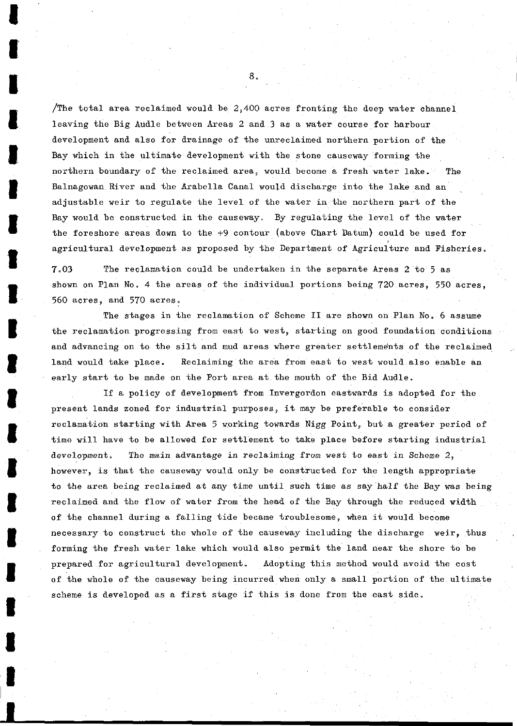The total area reclaimed would be  $2,400$  acres fronting the deep water channel leaving the Big Audle between Areas 2 and 3 as a water course for harbour development and also for drainage of the unreclaimed northern portion of the Bay which in the ultimate development with the stone causeway forming the northern boundary of the reclaimed area, would become a fresh water lake. The Balnagowan River and the Arabella Canal would discharge into the lake and an adjustable weir to regulate the level of the water in the northern part of the Bay would be constructed in the causeway. By regulating the level of the water the foreshore areas down to the +9 contour (above Chart Datum) could be used for , agricultural development as proposed by the Department of Agriculture and Fisheries.

7.03 The reclamation could be undertaken in the separate Areas 2 to 5 as shown on Plan No, 4 the areas of the individual portions being 720 acres, 550 acres, 560 acres, and 570 acres.

The stages in the reclamation of Scheme II are shown on Plan No. 6 assume the reclamation progressing from east to west, starting on good foundation conditions and advancing on to the silt and mud areas where greater settlements of the reclaimed land would take place. Reclaiming the area from east to west would also enable an early start to be made on the Port area at the mouth of the Bid Audle.

If a policy of development from Invergordon eastwards is adopted for the present lands zoned for industrial purposes, it may be preferable to consider reclamation starting with Area 5 working towards Nigg Point, but a greater period of time will have to be allowed for settlement to take place before starting industrial development. The main advantage in reclaiming from west to east in Scheme 2, however, is that the causeway would only be constructed for the length appropriate to the area being reclaimed at any time until such time as say half the Bay was being reclaimed and the flow of water from the head of the Bay through the reduced width of the channel during a falling tide became troublesome, when it would become necessary to construct the whole of the causeway including the discharge weir, thus forming the fresh water lake which would also permit the land near the shore to be prepared for agricultural development. Adopting this method would avoid the cost of the whole of the causeway being incurred when only a small portion of the ultimate scheme is developed as a first stage if this is done from the east side.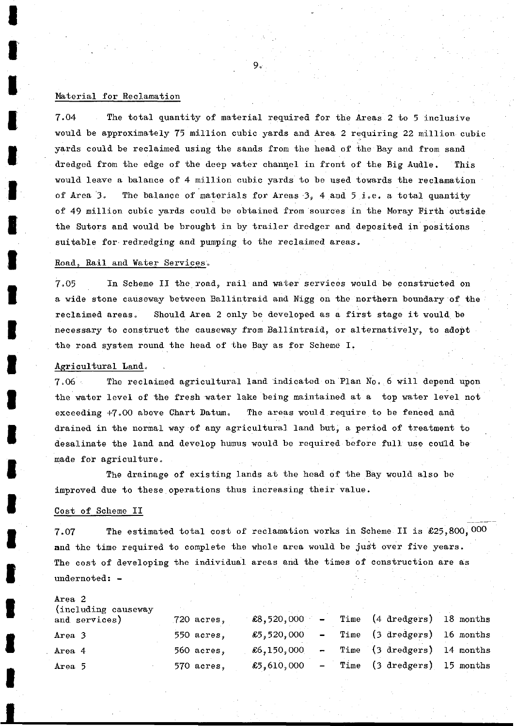## Material for Reclamation

7.04 The total quantity of material required for the Areas 2 to 5 inclusive would be approximately 75 million cubic yards and Area 2 requiring 22 million cubic yards could be reclaimed using the sands from the head of the Bay and from sand dredged from the edge of the deep water channel in front of the Big Audle. This would leave a balance of 4 million cubic yards to be used towards the reclamation of Area 3. The balance of materials for Areas 3, 4 and  $5$  i.e. a total quantity of 49 million cubic yards could be obtained from sources in the Moray Firth outside the Sutors and would be brought in by trailer dredger and deposited in positions suitable for redredging and pumping to the reclaimed areas.

 $9<sub>o</sub>$ 

# Road, Rail and ¥ater Services..

7.05 In Scheme II the road, rail and water services would be constructed on a wide stone causeway between Ballintraid and Nigg on the northern boundary of the reclaimed areas. Should Area 2 only be developed as a first stage it would be necessary to construct the causeway from Ballintraid, or alternatively, to adopt the road system round the head of the Bay as for Scheme I.

#### Agricultural Land,

7=06 The reclaimed agricultural land Indicated on Plan No. 6 will depend upon the water level of the fresh water lake being maintained at a top water level not exceeding +7.00 above Chart Datum. The areas would require to be fenced and drained in the normal way of any agricultural land but, a period of treatment to desalinate the land and develop humus would be required before full use could be made for agriculture.

The drainage of existing lands at the head of the Bay would also be improved due to these operations thus increasing their value.

## Cost of Scheme II

7.07 The estimated total cost of reclamation works in Scheme II is £25,800,000 and the time required to complete the whole area would be just over five years. The cost of developing the individual areas and the times of construction are as undernoted: -

#### Area 2

| (including causeway)<br>and services) | $720$ acres, | £8,520,000  | $\overline{\phantom{0}}$ | Time (4 dredgers) 18 months |  |
|---------------------------------------|--------------|-------------|--------------------------|-----------------------------|--|
| Area 3                                | 550 acres,   | 65,520,000  | $\sim$ $\sim$            | Time (3 dredgers) 16 months |  |
| Area 4                                | 560 acres,   | £6,150,000  | -                        | Time (3 dredgers) 14 months |  |
| Area 5                                | 570 acres,   | \$5,610,000 | $\overline{\phantom{a}}$ | Time (3 dredgers) 15 months |  |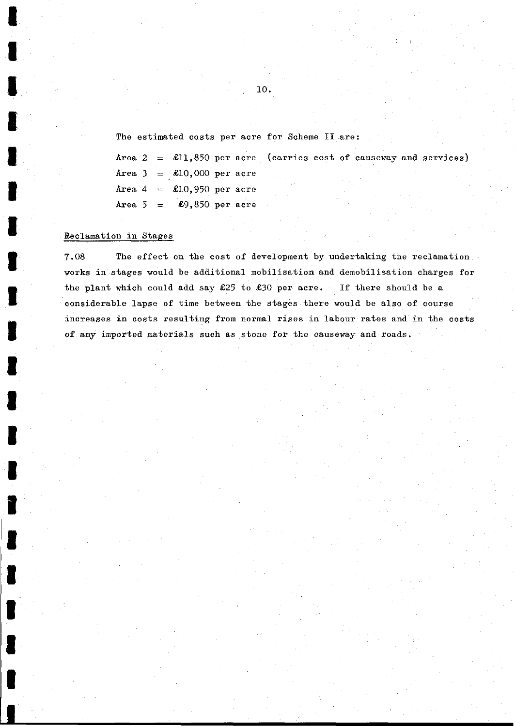The estimated costs per acre for Scheme II are:

Area 2 = £11,850 per acre (carries cost of causeway and services) Area  $3 = \text{\textsterling}10,000$  per acre Area  $4 = \pounds10,950$  per acre Area  $5 = \pounds9,850$  per acre

# Reclamation in Stages

I

I

H

I

7.08 The effect on the cost of development by undertaking the reclamation works in stages would be additional mobilisation and demobilisation charges for the plant which could add say  $\&25$  to  $\&30$  per acre. If there should be a considerable lapse of time between the stages there would be also of course increases in costs resulting from normal rises in labour rates and in the costs of any imported materials such as stone for the causeway and roads.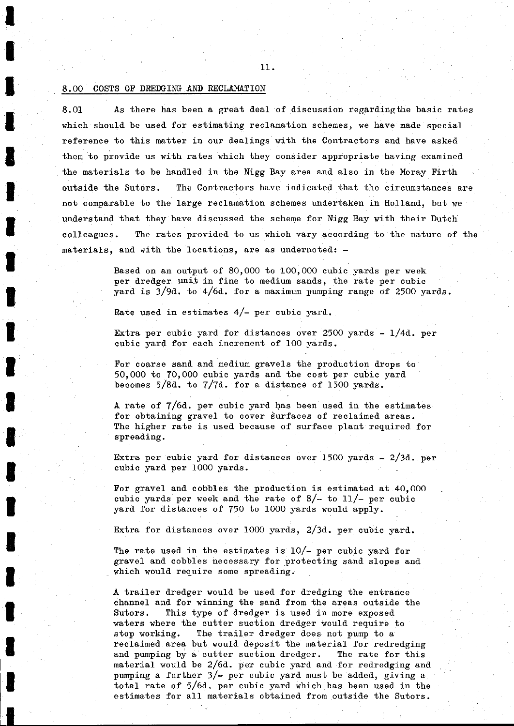## 8.00 COSTS OF DREDGING AND RECLAMATION

8.01 As there has been a great deal of discussion regardingthe basic rates which should be used for estimating reclamation schemes, we have made special reference to this matter in our dealings with the Contractors and have asked them to provide us with rates which they consider appropriate having examined the materials to be handled in the Nigg Bay area and also in the Moray Firth outside the Sutors. The Contractors have indicated that the circumstances are not comparable to the large reclamation schemes undertaken in Holland, but we understand that they have discussed the scheme for Nigg Bay with their Dutch colleagues. The rates provided to us which vary according to the nature of the materials, and with the locations, are as undernoted: -

> Based on an output of 80,000 to 100,000 cubic yards per week per dredger. unit in fine to medium sands, the rate per cubic yard is 3/9d. to 4/6d. for a maximum pumping range of 2500 yards.

Rate used in estimates  $4/-$  per cubic yard.

Extra per cubic yard for distances over 2500 yards - l/4d. per cubic yard for each increment of 100 yards.

For coarse sand and medium gravels the production drops to 50,000 to 70,000 cubic yards and the cost per cubic yard becomes  $5/8d$ . to  $7/7d$ . for a distance of 1500 yards.

A rate of 7/6d. per cubic yard has been used in the estimates for obtaining gravel to cover surfaces of reclaimed areas. The higher rate is used because of surface plant required for spreading.

Extra per cubic yard for distances over 1500 yards — 2/3d. per cubic yard per 1000 yards.

For gravel and cobbles the production is estimated at 40,000 cubic yards per week and the rate of  $8/-$  to  $11/-$  per cubic yard for distances of 750 to 1000 yards would apply.

Extra for distances over 1000 yards, 2/3d. per cubic yard.

The rate used in the estimates is 10/- per cubic yard for gravel and cobbles necessary for protecting sand slopes and which would require some spreading.

A trailer dredger would be used for dredging the entrance channel and for winning the sand from the areas outside the Sutors. This type of dredger is used in more exposed waters where the cutter suction dredger would require to stop working. The trailer dredger does not pump to a reclaimed area but would deposit the material for redredging and pumping by a cutter suction dredger. The rate for this material would be 2/6d. per cubic yard and for redredging and pumping a further 3/— per cubic yard must be added, giving a total rate of 5/6d. per cubic yard which has been used in the estimates for all materials obtained from outside the Sutors.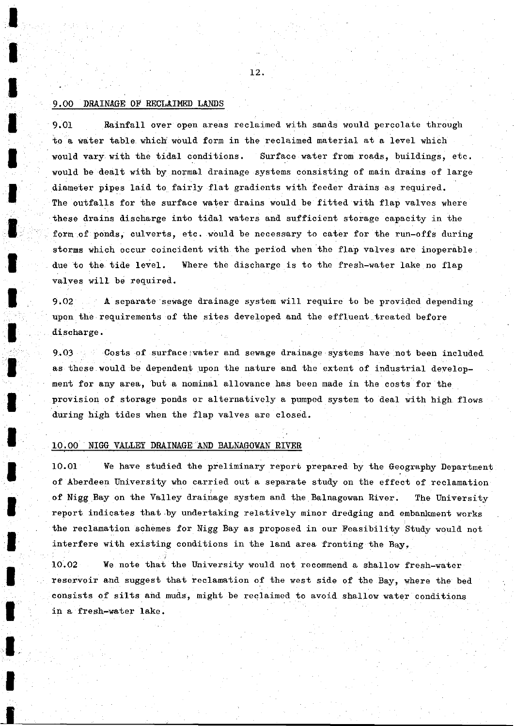# 9.00 DRAINAGE OF RECLAIMED LANDS

9.01 Rainfall over open areas reclaimed with sands would percolate through to a water table which would form in the reclaimed material at a level which would vary with the tidal conditions. Surface water from roads, buildings, etc. would be dealt with by normal drainage systems consisting of main drains of large diameter pipes laid to fairly flat gradients with feeder drains as required. The outfalls for the surface water drains would be fitted with flap valves where these drains discharge into tidal waters and sufficient storage capacity in the form of ponds, culverts, etc. would be necessary to cater for the run-offs during storms which occur coincident with the period when the flap valves are inoperable due to the tide level. ¥here the discharge is to the fresh-water lake no flap valves will be required.

9.02 A separate sewage drainage system will require to be provided depending upon the requirements of the sites developed and the effluent treated before discharge.

9.03 Costs of surface-water and sewage drainage systems have not been included as these would be dependent upon the nature and the extent of industrial development for any area, but a nominal allowance has been made in the costs for the provision of storage ponds or alternatively a pumped system to deal with high flows during high tides when the flap valves are closed.

# 10.00 NIGG VALLEY DRAINAGE AND BALNAGOWAN RIVER

10.01 We have studied the preliminary report prepared by the Geography Department of Aberdeen University who carried out a separate study on the effect of reclamation of Nigg Bay on the Valley drainage system and the Balnagowan River. The University report indicates that by undertaking relatively minor dredging and embankment works the reclamation schemes for Nigg Bay as proposed in our Feasibility Study would not interfere with existing conditions in the land area fronting the Bay,

10.02 Ve note that the University would not recommend a shallow fresh-water reservoir and suggest that reclamation of the west side of the Bay, where the bed consists of silts and muds, might be reclaimed to avoid shallow water conditions in a fresh-water lake.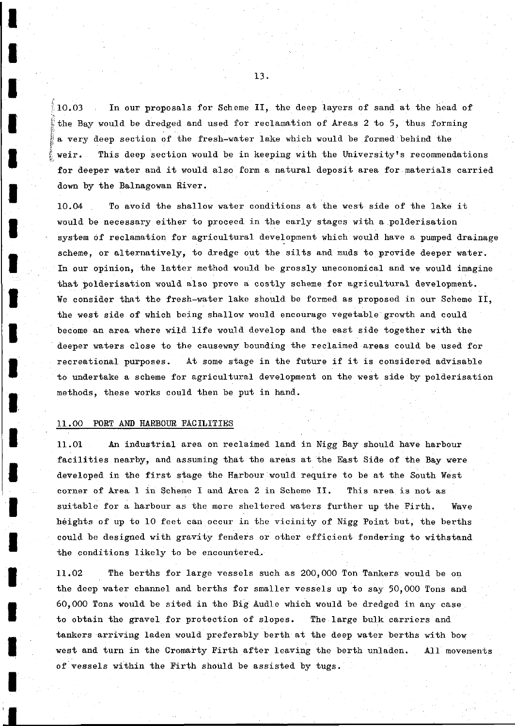10.03 In our proposals for Scheme II, the deep layers of sand at the head of the Bay would be dredged and used for reclamation of Areas 2 to 5, thus forming a very deep section of the fresh-water lake which would be formed behind the weir. This deep section would be in keeping with the University's recommendations for deeper water and it would also form a natural deposit area for materials carried down by the Balnagowan River.

10.04 To avoid the shallow water conditions at the west side of the lake it would be necessary either to proceed in the early stages with a polderisation system of reclamation for agricultural development which would have a pumped drainage scheme, or alternatively, to dredge out the silts and muds to provide deeper water. In our opinion, the latter method would be grossly uneconomical and we would imagine that polderisation would also prove a costly scheme for agricultural development. We consider that the fresh-water lake should be formed as proposed in our Scheme II, the west side of which being shallow would encourage vegetable growth and could become an area, where wild life would develop and the east side together with the deeper waters close to the causeway bounding the reclaimed areas could be used for recreational purposes. At some stage in the future if it is considered advisable to undertake a scheme for agricultural development on the west side by polderisation methods, these works could then be put in hand.

# 11.00 PORT AND HARBOUR FACILITIES

I

I

I

I

I

I

I

I

I

I

I

I

I

I

I

I

I

I

I

I

**I** 

11.01 An industrial area on reclaimed land in Nigg Bay should have harbour facilities nearby, and assuming that the areas at the East Side of the Bay were developed in the first stage the Harbour would require to be at the South West corner of Area 1 in Scheme I and Area 2 in Scheme II. This area is not as suitable for a harbour as the more sheltered waters further up the Firth. Wave heights of up to 10 feet can occur in the vicinity of Nigg Point but, the berths could be designed with gravity fenders or other efficient fendering to withstand the conditions likely to be encountered,.

11.02 The berths for large vessels such as 200,000 Ton Tankers would be on the deep water channel and berths for smaller vessels up to say 50,000 Tons and 60,000 Tons would be sited in the Big Audle which would be dredged in any case to obtain the gravel for protection of slopes. The large bulk carriers and tankers arriving laden would preferably berth at the deep water berths with bow west and turn in the Cromarty Firth after leaving the berth unladen. All movements of vessels within the Firth should be assisted by tugs.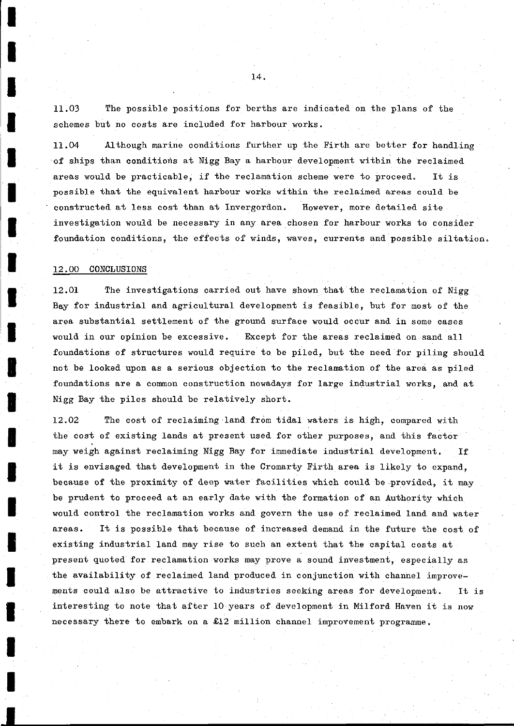11.03 The possible positions for berths are indicated on the plans of the schemes but no costs are included for harbour works.

11.04 Although marine conditions further up the Firth are better for handling of ships than conditions at Nigg Bay a harbour development within the reclaimed areas would be practicable, if the reclamation scheme were to proceed. It is possible that the equivalent harbour works within the reclaimed areas could be constructed at less cost than at Invergordon. However, more detailed site investigation would be necessary in any area chosen for harbour works to consider foundation conditions, the effects of winds, waves, currents and possible siltation,

## 12.00 CONCLUSIONS

12.01 The investigations carried out have shown that the reclamation of Nigg Bay for industrial and agricultural development is feasible, but for most of the area substantial settlement of the ground surface would occur and in some cases would in our opinion be excessive. Except for the areas reclaimed on sand all foundations of structures would require to be piled, but the need for piling should not be looked upon as a serious objection to the reclamation of the area as piled foundations are a common construction nowadays for large industrial works, and at Nigg Bay the piles should be relatively short.

12.02 The cost of reclaiming land from tidal waters is high, compared with the cost of existing lands at present used for other purposes, and this factor may weigh against reclaiming Nigg Bay for immediate industrial development. If it is envisaged that development in the Cromarty Firth area is likely to expand, because of the proximity of deep water facilities which could be provided, it may be prudent to proceed at an early date with the formation of an Authority which would control the reclamation works and govern the use of reclaimed land and water areas. It is possible that because of increased demand in the future the cost of existing industrial land may rise to such an extent that the capital costs at present quoted for reclamation works may prove a sound investment, especially as the availability of reclaimed land produced in conjunction with channel improvements could also be attractive to industries seeking areas for development. It is interesting to note that after 10 years of development in Milford Haven it is now necessary there to embark on a £12 million channel improvement programme.